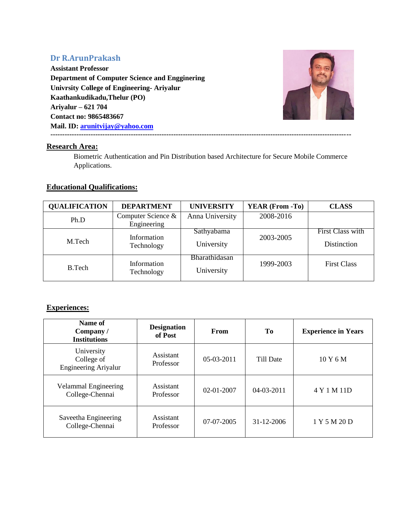# **Dr R.ArunPrakash**

**Assistant Professor Department of Computer Science and Engginering Univrsity College of Engineering- Ariyalur Kaathankudikadu,Thelur (PO) Ariyalur – 621 704 Contact no: 9865483667 Mail. ID: [arunitvijay@yahoo.com](mailto:arunitvijay@yahoo.com) -------------------------------------------------------------------------------------------------------------------------------**



# **Research Area:**

Biometric Authentication and Pin Distribution based Architecture for Secure Mobile Commerce Applications.

# **Educational Qualifications:**

| <b>QUALIFICATION</b> | <b>DEPARTMENT</b>                 | <b>UNIVERSITY</b>           | <b>YEAR (From -To)</b> | <b>CLASS</b>                    |
|----------------------|-----------------------------------|-----------------------------|------------------------|---------------------------------|
| Ph.D                 | Computer Science &<br>Engineering | Anna University             | 2008-2016              |                                 |
| M.Tech               | Information<br>Technology         | Sathyabama<br>University    | 2003-2005              | First Class with<br>Distinction |
| <b>B.Tech</b>        | Information<br>Technology         | Bharathidasan<br>University | 1999-2003              | <b>First Class</b>              |

# **Experiences:**

| Name of<br>Company /<br><b>Institutions</b>             | <b>Designation</b><br>of Post | <b>From</b>      | To               | <b>Experience in Years</b> |
|---------------------------------------------------------|-------------------------------|------------------|------------------|----------------------------|
| University<br>College of<br><b>Engineering Ariyalur</b> | Assistant<br>Professor        | 05-03-2011       | Till Date        | 10Y6M                      |
| Velammal Engineering<br>College-Chennai                 | Assistant<br>Professor        | $02 - 01 - 2007$ | $04 - 03 - 2011$ | 4 Y 1 M 11D                |
| Saveetha Engineering<br>College-Chennai                 | Assistant<br>Professor        | 07-07-2005       | 31-12-2006       | 1 Y 5 M 20 D               |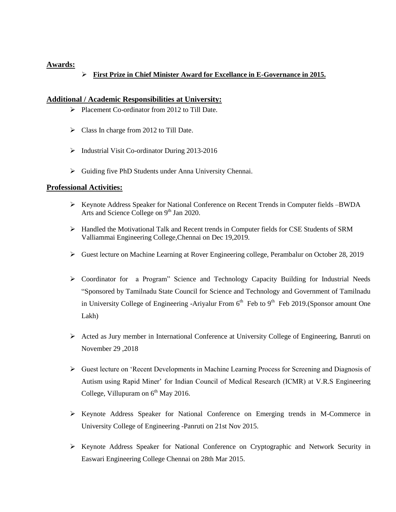# **Awards:**

# **First Prize in Chief Minister Award for Excellance in E-Governance in 2015.**

### **Additional / Academic Responsibilities at University:**

- $\triangleright$  Placement Co-ordinator from 2012 to Till Date.
- $\triangleright$  Class In charge from 2012 to Till Date.
- Industrial Visit Co-ordinator During 2013-2016
- Guiding five PhD Students under Anna University Chennai.

#### **Professional Activities:**

- $\triangleright$  Keynote Address Speaker for National Conference on Recent Trends in Computer fields –BWDA Arts and Science College on 9<sup>th</sup> Jan 2020.
- Handled the Motivational Talk and Recent trends in Computer fields for CSE Students of SRM Valliammai Engineering College,Chennai on Dec 19,2019.
- Guest lecture on Machine Learning at Rover Engineering college, Perambalur on October 28, 2019
- Coordinator for a Program" Science and Technology Capacity Building for Industrial Needs "Sponsored by Tamilnadu State Council for Science and Technology and Government of Tamilnadu in University College of Engineering -Ariyalur From  $6<sup>th</sup>$  Feb to  $9<sup>th</sup>$  Feb 2019.(Sponsor amount One Lakh)
- $\triangleright$  Acted as Jury member in International Conference at University College of Engineering, Banruti on November 29 ,2018
- Guest lecture on 'Recent Developments in Machine Learning Process for Screening and Diagnosis of Autism using Rapid Miner' for Indian Council of Medical Research (ICMR) at V.R.S Engineering College, Villupuram on  $6<sup>th</sup>$  May 2016.
- $\triangleright$  Keynote Address Speaker for National Conference on Emerging trends in M-Commerce in University College of Engineering -Panruti on 21st Nov 2015.
- $\triangleright$  Keynote Address Speaker for National Conference on Cryptographic and Network Security in Easwari Engineering College Chennai on 28th Mar 2015.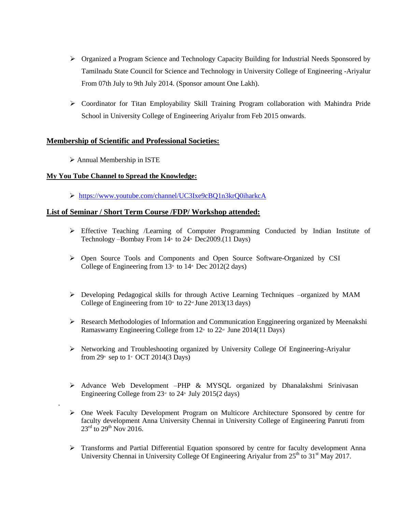- Organized a Program Science and Technology Capacity Building for Industrial Needs Sponsored by Tamilnadu State Council for Science and Technology in University College of Engineering -Ariyalur From 07th July to 9th July 2014. (Sponsor amount One Lakh).
- Coordinator for Titan Employability Skill Training Program collaboration with Mahindra Pride School in University College of Engineering Ariyalur from Feb 2015 onwards.

# **Membership of Scientific and Professional Societies:**

 $\triangleright$  Annual Membership in ISTE

.

# **My You Tube Channel to Spread the Knowledge:**

<https://www.youtube.com/channel/UC3Ixe9cBQ1n3krQ0iharkcA>

# **List of Seminar / Short Term Course /FDP/ Workshop attended:**

- Effective Teaching /Learning of Computer Programming Conducted by Indian Institute of Technology –Bombay From  $14^{\text{th}}$  to  $24^{\text{th}}$  Dec2009.(11 Days)
- Open Source Tools and Components and Open Source Software-Organized by CSI College of Engineering from  $13<sup>th</sup>$  to  $14<sup>th</sup>$  Dec 2012(2 days)
- Developing Pedagogical skills for through Active Learning Techniques –organized by MAM College of Engineering from  $10<sup>th</sup>$  to  $22<sup>nd</sup>$  June  $2013(13 \text{ days})$
- $\triangleright$  Research Methodologies of Information and Communication Enggineering organized by Meenakshi Ramaswamy Engineering College from 12<sup>th</sup> to 22<sup>nd</sup> June 2014(11 Days)
- $\triangleright$  Networking and Troubleshooting organized by University College Of Engineering-Ariyalur from  $29^{\text{th}}$  sep to  $1^{\text{st}}$  OCT 2014(3 Days)
- $\triangleright$  Advance Web Development –PHP & MYSQL organized by Dhanalakshmi Srinivasan Engineering College from  $23<sup>nd</sup>$  to  $24<sup>nd</sup>$  July 2015(2 days)
- One Week Faculty Development Program on Multicore Architecture Sponsored by centre for faculty development Anna University Chennai in University College of Engineering Panruti from  $23^{\text{rd}}$  to  $29^{\text{th}}$  Nov 2016.
- > Transforms and Partial Differential Equation sponsored by centre for faculty development Anna University Chennai in University College Of Engineering Ariyalur from 25<sup>th</sup> to 31<sup>st</sup> May 2017.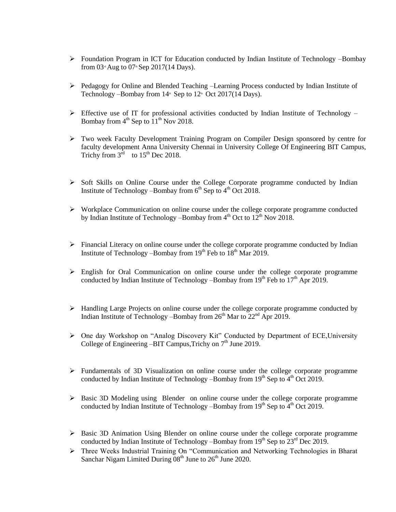- $\triangleright$  Foundation Program in ICT for Education conducted by Indian Institute of Technology –Bombay from  $03^{\circ}$  Aug to  $07^{\circ}$  Sep 2017(14 Days).
- $\triangleright$  Pedagogy for Online and Blended Teaching –Learning Process conducted by Indian Institute of Technology –Bombay from  $14^{\text{th}}$  Sep to  $12^{\text{th}}$  Oct 2017(14 Days).
- $\triangleright$  Effective use of IT for professional activities conducted by Indian Institute of Technology Bombay from  $4<sup>th</sup>$  Sep to  $11<sup>th</sup>$  Nov 2018.
- Two week Faculty Development Training Program on Compiler Design sponsored by centre for faculty development Anna University Chennai in University College Of Engineering BIT Campus, Trichy from  $3^{\text{rd}}$  to  $15^{\text{th}}$  Dec 2018.
- $\triangleright$  Soft Skills on Online Course under the College Corporate programme conducted by Indian Institute of Technology –Bombay from  $6<sup>th</sup>$  Sep to  $4<sup>th</sup>$  Oct 2018.
- $\triangleright$  Workplace Communication on online course under the college corporate programme conducted by Indian Institute of Technology –Bombay from  $4<sup>th</sup>$  Oct to  $12<sup>th</sup>$  Nov 2018.
- $\triangleright$  Financial Literacy on online course under the college corporate programme conducted by Indian Institute of Technology –Bombay from  $19<sup>th</sup>$  Feb to  $18<sup>th</sup>$  Mar 2019.
- English for Oral Communication on online course under the college corporate programme conducted by Indian Institute of Technology –Bombay from  $19<sup>th</sup>$  Feb to  $17<sup>th</sup>$  Apr 2019.
- Handling Large Projects on online course under the college corporate programme conducted by Indian Institute of Technology –Bombay from  $26<sup>th</sup>$  Mar to  $22<sup>nd</sup>$  Apr 2019.
- One day Workshop on "Analog Discovery Kit" Conducted by Department of ECE,University College of Engineering –BIT Campus, Trichy on  $7<sup>th</sup>$  June 2019.
- Fundamentals of 3D Visualization on online course under the college corporate programme conducted by Indian Institute of Technology –Bombay from  $19<sup>th</sup>$  Sep to  $4<sup>th</sup>$  Oct 2019.
- $\triangleright$  Basic 3D Modeling using Blender on online course under the college corporate programme conducted by Indian Institute of Technology –Bombay from  $19<sup>th</sup>$  Sep to  $4<sup>th</sup>$  Oct 2019.
- $\triangleright$  Basic 3D Animation Using Blender on online course under the college corporate programme conducted by Indian Institute of Technology –Bombay from  $19<sup>th</sup>$  Sep to  $23<sup>rd</sup>$  Dec 2019.
- Three Weeks Industrial Training On "Communication and Networking Technologies in Bharat Sanchar Nigam Limited During  $08<sup>th</sup>$  June to  $26<sup>th</sup>$  June 2020.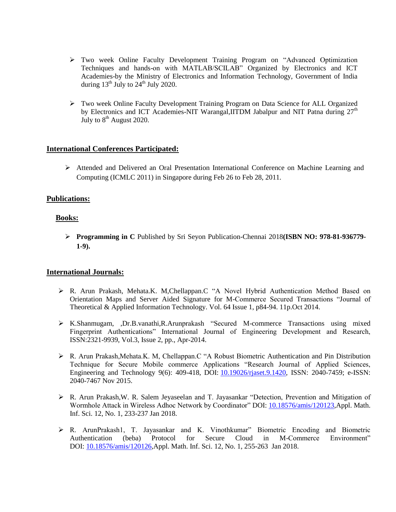- Two week Online Faculty Development Training Program on "Advanced Optimization Techniques and hands-on with MATLAB/SCILAB" Organized by Electronics and ICT Academies-by the Ministry of Electronics and Information Technology, Government of India during  $13<sup>th</sup>$  July to  $24<sup>th</sup>$  July 2020.
- Two week Online Faculty Development Training Program on Data Science for ALL Organized by Electronics and ICT Academies-NIT Warangal, IITDM Jabalpur and NIT Patna during  $27<sup>th</sup>$ July to  $8<sup>th</sup>$  August 2020.

# **International Conferences Participated:**

 Attended and Delivered an Oral Presentation International Conference on Machine Learning and Computing (ICMLC 2011) in Singapore during Feb 26 to Feb 28, 2011.

#### **Publications:**

#### **Books:**

 **Programming in C** Published by Sri Seyon Publication-Chennai 2018**(ISBN NO: 978-81-936779- 1-9).**

#### **International Journals:**

- R. Arun Prakash, Mehata.K. M,Chellappan.C "A Novel Hybrid Authentication Method Based on Orientation Maps and Server Aided Signature for M-Commerce Secured Transactions "Journal of Theoretical & Applied Information Technology. Vol. 64 Issue 1, p84-94. 11p.Oct 2014.
- K.Shanmugam, ,Dr.B.vanathi,R.Arunprakash "Secured M-commerce Transactions using mixed Fingerprint Authentications" International Journal of Engineering Development and Research, ISSN:2321-9939, Vol.3, Issue 2, pp., Apr-2014.
- $\triangleright$  R. Arun Prakash, Mehata.K. M, Chellappan.C "A Robust Biometric Authentication and Pin Distribution Technique for Secure Mobile commerce Applications "Research Journal of Applied Sciences, Engineering and Technology 9(6): 409-418, DOI: [10.19026/rjaset.9.1420,](https://doi.org/10.19026/rjaset.9.1420) ISSN: 2040-7459; e-ISSN: 2040-7467 Nov 2015.
- R. Arun Prakash,W. R. Salem Jeyaseelan and T. Jayasankar "Detection, Prevention and Mitigation of Wormhole Attack in Wireless Adhoc Network by Coordinator" DOI: [10.18576/amis/120123,](https://doi.org/10.18576/amis/120123)Appl. Math. Inf. Sci. 12, No. 1, 233-237 Jan 2018.
- R. ArunPrakash1, T. Jayasankar and K. Vinothkumar" Biometric Encoding and Biometric Authentication (beba) Protocol for Secure Cloud in M-Commerce Environment" DOI: [10.18576/amis/120126,](https://doi.org/10.18576/amis/120126)Appl. Math. Inf. Sci. 12, No. 1, 255-263 Jan 2018.